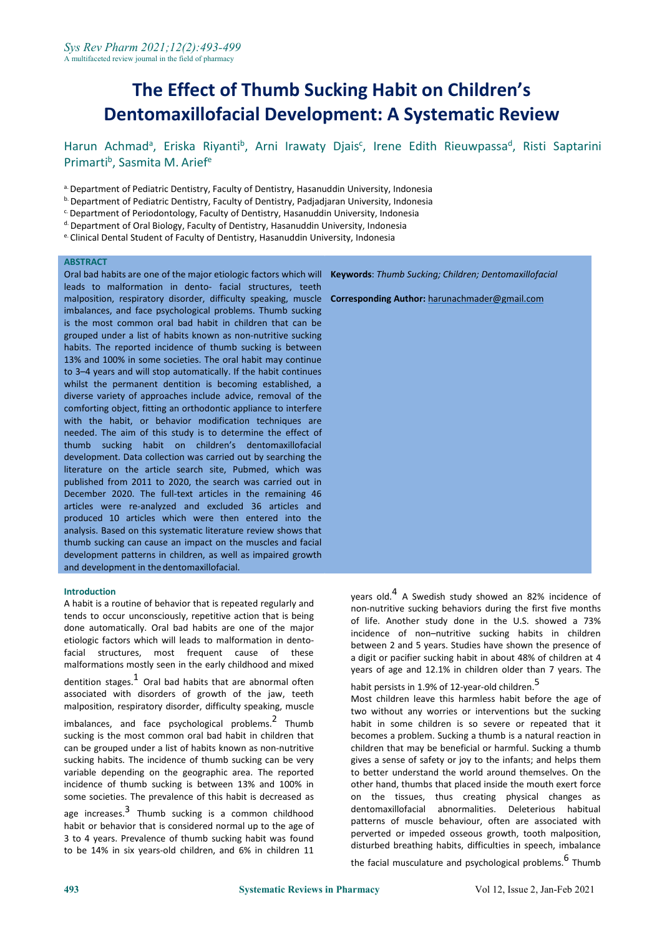# **The Effect of Thumb Sucking Habit on Children's Dentomaxillofacial Development: A Systematic Review**

Harun Achmad<sup>a</sup>, Eriska Riyanti<sup>b</sup>, Arni Irawaty Djais<sup>c</sup>, Irene Edith Rieuwpassa<sup>d</sup>, Risti Saptarini Primarti<sup>b</sup>, Sasmita M. Arief<sup>e</sup>

- a. Department of Pediatric Dentistry, Faculty of Dentistry, Hasanuddin University, Indonesia
- <sup>b.</sup> Department of Pediatric Dentistry, Faculty of Dentistry, Padjadjaran University, Indonesia
- c.Department of Periodontology, Faculty of Dentistry, Hasanuddin University, Indonesia
- d. Department of Oral Biology, Faculty of Dentistry, Hasanuddin University, Indonesia
- e. Clinical Dental Student of Faculty of Dentistry, Hasanuddin University, Indonesia

#### **ABSTRACT**

Oral bad habits are one of the major etiologic factors which will **Keywords**: *Thumb Sucking; Children; Dentomaxillofacial* leads to malformation in dento- facial structures, teeth malposition, respiratory disorder, difficulty speaking, muscle **Corresponding Author:** [harunachmader@gmail.com](mailto:harunachmader@gmail.com) imbalances, and face psychological problems. Thumb sucking is the most common oral bad habit in children that can be grouped under a list of habits known as non-nutritive sucking habits. The reported incidence of thumb sucking is between 13% and 100% in some societies. The oral habit may continue to 3–4 years and will stop automatically. If the habit continues whilst the permanent dentition is becoming established, a diverse variety of approaches include advice, removal of the comforting object, fitting an orthodontic appliance to interfere with the habit, or behavior modification techniques are needed. The aim of this study is to determine the effect of thumb sucking habit on children's dentomaxillofacial development. Data collection was carried out by searching the literature on the article search site, Pubmed, which was published from 2011 to 2020, the search was carried out in December 2020. The full-text articles in the remaining 46 articles were re-analyzed and excluded 36 articles and produced 10 articles which were then entered into the analysis. Based on this systematic literature review shows that thumb sucking can cause an impact on the muscles and facial development patterns in children, as well as impaired growth and development in the dentomaxillofacial.

#### **Introduction**

A habit is a routine of behavior that is repeated regularly and tends to occur unconsciously, repetitive action that is being done automatically. Oral bad habits are one of the major etiologic factors which will leads to malformation in dentofacial structures, most frequent cause of these malformations mostly seen in the early childhood and mixed dentition stages. $1$  Oral bad habits that are abnormal often associated with disorders of growth of the jaw, teeth malposition, respiratory disorder, difficulty speaking, muscle  $im$ balances, and face psychological problems.<sup>2</sup> Thumb sucking is the most common oral bad habit in children that can be grouped under a list of habits known as non-nutritive sucking habits. The incidence of thumb sucking can be very variable depending on the geographic area. The reported incidence of thumb sucking is between 13% and 100% in some societies. The prevalence of this habit is decreased as age increases.<sup>3</sup> Thumb sucking is a common childhood dentomaxillofare habit or behavior that is considered normal up to the age of 3 to 4 years. Prevalence of thumb sucking habit was found to be 14% in six years-old children, and 6% in children 11

years old.<sup>4</sup> A Swedish study showed an 82% incidence of non-nutritive sucking behaviors during the first five months of life. Another study done in the U.S. showed a 73% incidence of non–nutritive sucking habits in children between 2 and 5 years. Studies have shown the presence of a digit or pacifier sucking habit in about 48% of children at 4 years of age and 12.1% in children older than 7 years. The

Thumb habit in some children is so severe or repeated that it habit persists in 1.9% of 12-year-old children.<sup>5</sup> Most children leave this harmless habit before the age of two without any worries or interventions but the sucking becomes a problem. Sucking a thumb is a natural reaction in children that may be beneficial or harmful. Sucking a thumb gives a sense of safety or joy to the infants;and helps them to better understand the world around themselves.On the other hand, thumbs that placed inside the mouth exert force on the tissues, thus creating physical changes as dentomaxillofacial abnormalities. Deleterious habitual patterns of muscle behaviour, often are associated with perverted or impeded osseous growth, tooth malposition, disturbed breathing habits, difficulties in speech, imbalance the facial musculature and psychological problems. <sup>6</sup> Thumb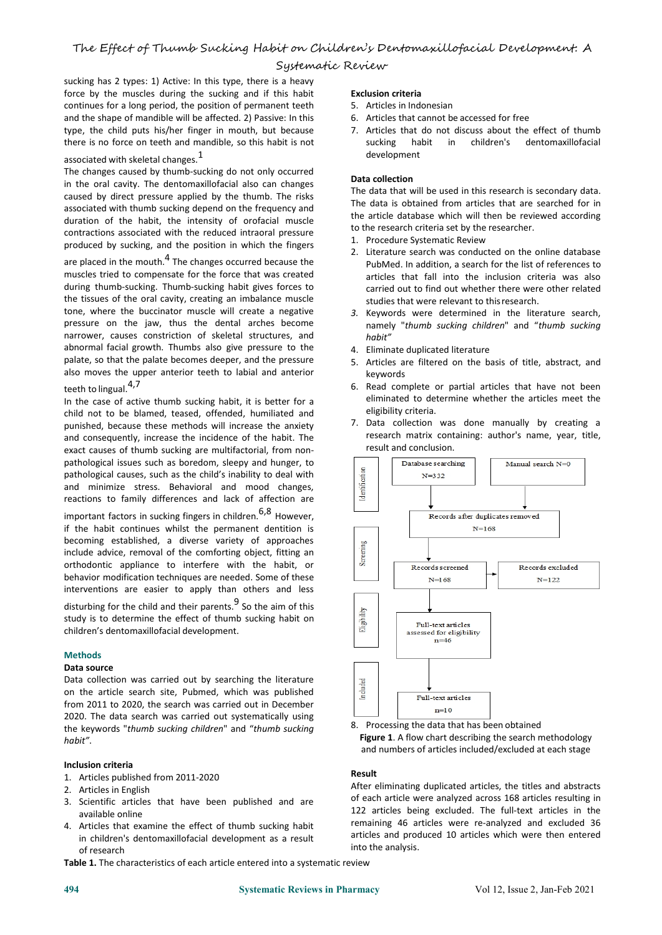sucking has 2 types: 1) Active: In this type, there is a heavy force by the muscles during the sucking and if this habit continues for a long period, the position of permanent teeth and the shape of mandible will be affected. 2) Passive: In this type, the child puts his/her finger in mouth, but because there is no force on teeth and mandible, so this habit is not

## associated with skeletal changes.  $1$

The changes caused by thumb-sucking do not only occurred in the oral cavity. The dentomaxillofacial also can changes caused by direct pressure applied by the thumb. The risks associated with thumb sucking depend on the frequency and duration of the habit, the intensity of orofacial muscle contractions associated with the reduced intraoral pressure produced by sucking, and the position in which the fingers

are placed in the mouth.<sup>4</sup> The changes occurred because the **the controller** pubMed. muscles tried to compensate for the force that was created during thumb-sucking. Thumb-sucking habit gives forces to the tissues of the oral cavity, creating an imbalance muscle tone, where the buccinator muscle will create a negative pressure on the jaw, thus the dental arches become narrower, causes constriction of skeletal structures, and abnormal facial growth. Thumbs also give pressure to the palate, so that the palate becomes deeper, and the pressure also moves the upper anterior teeth to labial and anterior teeth to lingual.<sup>4,7</sup>

In the case of active thumb sucking habit, it is better for a child not to be blamed, teased, offended, humiliated and punished, because these methods will increase the anxiety and consequently, increase the incidence of the habit. The exact causes of thumb sucking are multifactorial, from non pathological issues such as boredom, sleepy and hunger, to **particular** and a patabase searching pathological causes, such as the child's inability to deal with<br>and minimize stress. Behavioral and mood changes,<br>reactions to family differences and lack of affection are and minimize stress. Behavioral and mood changes, reactions to family differences and lack of affection are

important factors in sucking fingers in children.<sup>6,8</sup> However, if the habit continues whilst the permanent dentition is becoming established, a diverse variety of approaches<br>include advice, removal of the comforting object, fitting an<br>orthodontic, appliance to interfere with the babit or include advice, removal of the comforting object, fitting an orthodontic appliance to interfere with the habit, or behavior modification techniques are needed. Some of these interventions are easier to apply than others and less

disturbing for the child and their parents. 9 So the aim of this  $\begin{array}{|c|c|c|}\hline \end{array}$ sturbing for the child and their parents. So the aim of this<br>study is to determine the effect of thumb sucking habit on<br>children's dentomay llofacial development children's dentomaxillofacial development.

#### **Methods**

#### **Data source**

Data collection was carried out by searching the literature<br>on the article search site, Pubmed, which was published on the article search site, Pubmed, which was published from 2011 to 2020, the search was carried out in December 2020. The data search was carried out systematically using the keywords "*thumb sucking children*" and "*thumb sucking habit"*.

#### **Inclusion criteria**

- 1. Articles published from 2011-2020
- 2. Articles in English
- 3. Scientific articles that have been published and are available online
- 4. Articles that examine the effect of thumb sucking habit in children's dentomaxillofacial development as a result of research

**Table 1.** The characteristics of each article entered into a systematic review

#### **Exclusion criteria**

- 5. Articles in Indonesian
- 6. Articles that cannot be accessed for free
- 7. Articles that do not discuss about the effect of thumb habit in children's dentomaxillofacial development

## **Data collection**

The data that will be used in this research is secondary data. The data is obtained from articles that are searched for in the article database which will then be reviewed according to the research criteria set by the researcher.

- 1. Procedure Systematic Review
- 2. Literature search was conducted on the online database PubMed. In addition, a search for the list of references to articles that fall into the inclusion criteria was also carried out to find out whether there were other related studies that were relevant to thisresearch.
- *3.* Keywords were determined in the literature search, namely "*thumb sucking children*" and "*thumb sucking habit"*
- 4. Eliminate duplicated literature
- 5. Articles are filtered on the basis of title, abstract, and keywords
- 6. Read complete or partial articles that have not been eliminated to determine whether the articles meet the eligibility criteria.
- 7. Data collection was done manually by creating a research matrix containing: author's name, year, title, result and conclusion.



8. Processing the data that has been obtained **Figure 1**. A flow chart describing the search methodology and numbers of articles included/excluded at each stage

#### **Result**

After eliminating duplicated articles, the titles and abstracts of each article were analyzed across 168 articles resulting in 122 articles being excluded. The full-text articles in the remaining 46 articles were re-analyzed and excluded 36 articles and produced 10 articles which were then entered into the analysis.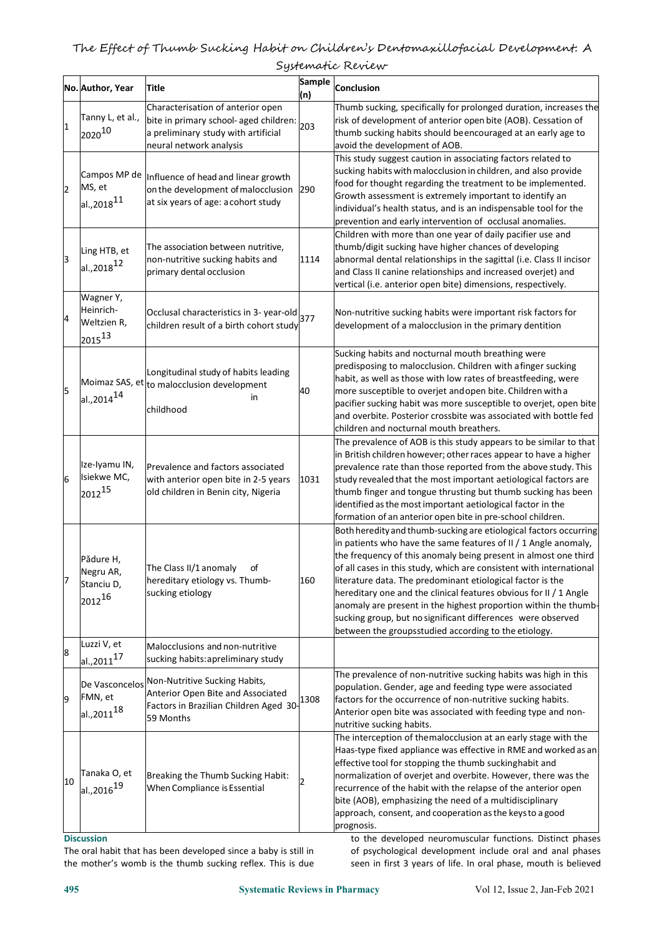|    | No. Author, Year                                            | Title                                                                                                                                         | <b>Sample</b><br>(n) | Conclusion                                                                                                                                                                                                                                                                                                                                                                                                                                                                                                                                                                                                  |
|----|-------------------------------------------------------------|-----------------------------------------------------------------------------------------------------------------------------------------------|----------------------|-------------------------------------------------------------------------------------------------------------------------------------------------------------------------------------------------------------------------------------------------------------------------------------------------------------------------------------------------------------------------------------------------------------------------------------------------------------------------------------------------------------------------------------------------------------------------------------------------------------|
| 1  | Tanny L, et al.,<br>202010                                  | Characterisation of anterior open<br>bite in primary school- aged children:<br>a preliminary study with artificial<br>neural network analysis | 203                  | Thumb sucking, specifically for prolonged duration, increases the<br>risk of development of anterior open bite (AOB). Cessation of<br>thumb sucking habits should beencouraged at an early age to<br>avoid the development of AOB.                                                                                                                                                                                                                                                                                                                                                                          |
| 2  | Campos MP de<br>MS, et<br>$a$ l.,2018 $11$                  | Influence of head and linear growth<br>on the development of malocclusion 290<br>at six years of age: a cohort study                          |                      | This study suggest caution in associating factors related to<br>sucking habits with malocclusion in children, and also provide<br>food for thought regarding the treatment to be implemented.<br>Growth assessment is extremely important to identify an<br>individual's health status, and is an indispensable tool for the<br>prevention and early intervention of occlusal anomalies.                                                                                                                                                                                                                    |
| 3  | Ling HTB, et<br>$aL, 2018$ <sup>12</sup>                    | The association between nutritive,<br>non-nutritive sucking habits and<br>primary dental occlusion                                            | 1114                 | Children with more than one year of daily pacifier use and<br>thumb/digit sucking have higher chances of developing<br>abnormal dental relationships in the sagittal (i.e. Class II incisor<br>and Class II canine relationships and increased overjet) and<br>vertical (i.e. anterior open bite) dimensions, respectively.                                                                                                                                                                                                                                                                                 |
| 4  | Wagner Y,<br>Heinrich-<br>Weltzien R,<br>$\sqrt{2015^{13}}$ | Occlusal characteristics in 3- year-old<br>children result of a birth cohort study                                                            | 377                  | Non-nutritive sucking habits were important risk factors for<br>development of a malocclusion in the primary dentition                                                                                                                                                                                                                                                                                                                                                                                                                                                                                      |
| 5  | $aL, 2014^{14}$                                             | Longitudinal study of habits leading<br>Moimaz SAS, et $ $ to malocclusion development<br>in.<br>childhood                                    | 40                   | Sucking habits and nocturnal mouth breathing were<br>predisposing to malocclusion. Children with afinger sucking<br>habit, as well as those with low rates of breastfeeding, were<br>more susceptible to overjet and open bite. Children with a<br>pacifier sucking habit was more susceptible to overjet, open bite<br>and overbite. Posterior crossbite was associated with bottle fed<br>children and nocturnal mouth breathers.                                                                                                                                                                         |
| 6  | Ize-Iyamu IN,<br>Isiekwe MC,<br>$\sqrt{2012^{15}}$          | Prevalence and factors associated<br>with anterior open bite in 2-5 years<br>old children in Benin city, Nigeria                              | 1031                 | The prevalence of AOB is this study appears to be similar to that<br>in British children however; other races appear to have a higher<br>prevalence rate than those reported from the above study. This<br>study revealed that the most important aetiological factors are<br>thumb finger and tongue thrusting but thumb sucking has been<br>identified as the most important aetiological factor in the<br>formation of an anterior open bite in pre-school children.                                                                                                                                     |
| 17 | Pǎdure H,<br>Negru AR,<br>Stanciu D,<br>201216              | The Class II/1 anomaly<br>of<br>hereditary etiology vs. Thumb-<br>sucking etiology                                                            | 160                  | Both heredity and thumb-sucking are etiological factors occurring<br>in patients who have the same features of II / 1 Angle anomaly,<br>the frequency of this anomaly being present in almost one third<br>of all cases in this study, which are consistent with international<br>literature data. The predominant etiological factor is the<br>hereditary one and the clinical features obvious for II / 1 Angle<br>anomaly are present in the highest proportion within the thumb-<br>sucking group, but no significant differences were observed<br>between the groupsstudied according to the etiology. |
| 8  | Luzzi V, et<br>$aL, 2011^{17}$                              | Malocclusions and non-nutritive<br>sucking habits: apreliminary study                                                                         |                      |                                                                                                                                                                                                                                                                                                                                                                                                                                                                                                                                                                                                             |
| 9  | De Vasconcelos<br>FMN, et<br>$aL, 2011^{18}$                | Non-Nutritive Sucking Habits,<br>Anterior Open Bite and Associated<br>Factors in Brazilian Children Aged 30-<br>59 Months                     | 1308                 | The prevalence of non-nutritive sucking habits was high in this<br>population. Gender, age and feeding type were associated<br>factors for the occurrence of non-nutritive sucking habits.<br>Anterior open bite was associated with feeding type and non-<br>nutritive sucking habits.                                                                                                                                                                                                                                                                                                                     |
| 10 | Tanaka O, et<br>$aL, 2016^{19}$                             | Breaking the Thumb Sucking Habit:<br>When Compliance is Essential                                                                             | 12.                  | The interception of themalocclusion at an early stage with the<br>Haas-type fixed appliance was effective in RME and worked as an<br>effective tool for stopping the thumb suckinghabit and<br>normalization of overjet and overbite. However, there was the<br>recurrence of the habit with the relapse of the anterior open<br>bite (AOB), emphasizing the need of a multidisciplinary<br>approach, consent, and cooperation as the keys to a good<br>prognosis.                                                                                                                                          |

**Discussion**

The oral habit that has been developed since a baby is still in the mother's womb is the thumb sucking reflex. This is due to the developed neuromuscular functions. Distinct phases of psychological development include oral and anal phases seen in first 3 years of life. In oral phase, mouth is believed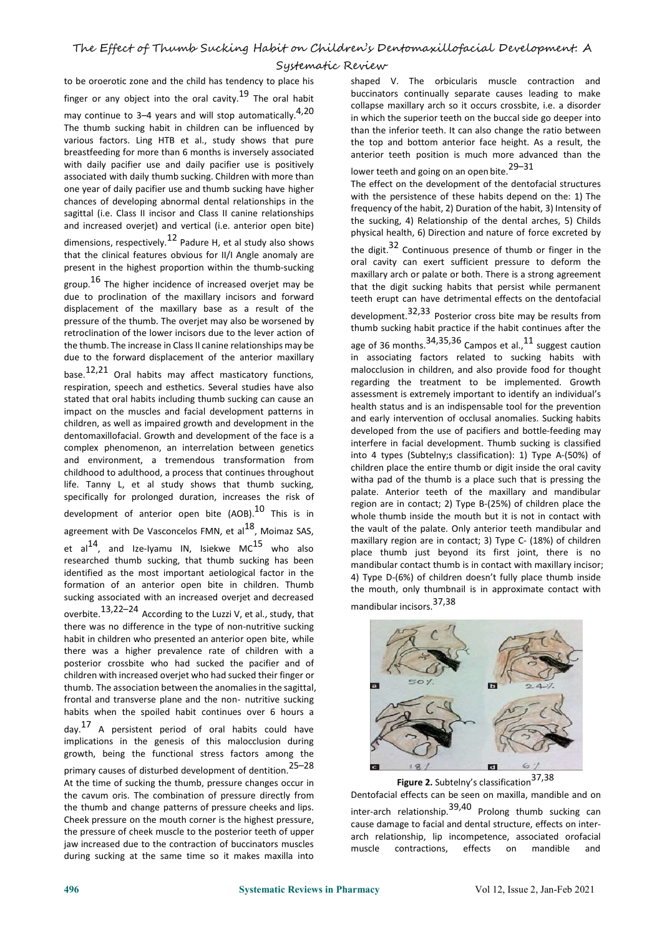to be oroerotic zone and the child has tendency to place his finger or any object into the oral cavity.<sup>19</sup> The oral habit buccin

may continue to 3-4 years and will stop automatically.<sup>4,20</sup> The thumb sucking habit in children can be influenced by various factors. Ling HTB et al., study shows that pure breastfeeding for more than 6 months is inversely associated with daily pacifier use and daily pacifier use is positively associated with daily thumb sucking. Children with more than one year of daily pacifier use and thumb sucking have higher chances of developing abnormal dental relationships in the sagittal (i.e. Class II incisor and Class II canine relationships and increased overjet) and vertical (i.e. anterior open bite)

dimensions, respectively.<sup>12</sup> Padure H, et al study also shows that the clinical features obvious for II/I Angle anomaly are present in the highest proportion within the thumb-sucking

group.<sup>16</sup> The higher incidence of increased overjet may be that the digit due to proclination of the maxillary incisors and forward displacement of the maxillary base as a result of the pressure of the thumb. The overjet may also be worsened by retroclination of the lower incisors due to the lever action of the thumb. The increase in Class II canine relationships may be due to the forward displacement of the anterior maxillary

hase.<sup>12,21</sup> Oral habits may affect masticatory functions, respiration, speech and esthetics. Several studies have also stated that oral habits including thumb sucking can cause an impact on the muscles and facial development patterns in children, as well as impaired growth and development in the dentomaxillofacial. Growth and development of the face is a complex phenomenon, an interrelation between genetics and environment, a tremendous transformation from childhood to adulthood, a process that continues throughout life. Tanny L, et al study shows that thumb sucking, specifically for prolonged duration, increases the risk of development of anterior open bite  $(AOB)<sup>10</sup>$  This is in agreement with De Vasconcelos FMN, et al $^{18}$ , Moimaz SAS,  $\hskip1cm$  the et al<sup>14</sup>, and Ize-Iyamu IN, Isiekwe MC<sup>15</sup> who also and naxillary region researched thumb sucking, that thumb sucking has been identified as the most important aetiological factor in the formation of an anterior open bite in children. Thumb sucking associated with an increased overjet and decreased overbite.<sup>13,22–24</sup> According to the Luzzi V, et al., study, that there was no difference in the type of non-nutritive sucking habit in children who presented an anterior open bite, while there was a higher prevalence rate of children with a posterior crossbite who had sucked the pacifier and of children with increased overjet who had sucked their finger or thumb. The association between the anomalies in the sagittal, frontal and transverse plane and the non- nutritive sucking habits when the spoiled habit continues over 6 hours a day.<sup>17</sup> A persistent period of oral habits could have

implications in the genesis of this malocclusion during growth, being the functional stress factors among the primary causes of disturbed development of dentition.25–28 At the time of sucking the thumb, pressure changes occur in the cavum oris. The combination of pressure directly from the thumb and change patterns of pressure cheeks and lips. Cheek pressure on the mouth corner is the highest pressure, the pressure of cheek muscle to the posterior teeth of upper jaw increased due to the contraction of buccinators muscles muscle jaw increased due to the contraction of buccinators muscles<br>during sucking at the same time so it makes maxilla into

shaped V. The orbicularis muscle contraction and buccinators continually separate causes leading to make collapse maxillary arch so it occurs crossbite, i.e. a disorder in which the superior teeth on the buccal side go deeper into than the inferior teeth. It can also change the ratio between the top and bottom anterior face height. As a result, the anterior teeth position is much more advanced than the lower teeth and going on an open bite.<sup>29–31</sup>

The effect on the development of the dentofacial structures with the persistence of these habits depend on the: 1) The frequency of the habit, 2) Duration of the habit, 3) Intensity of the sucking, 4) Relationship of the dental arches, 5) Childs physical health, 6) Direction and nature of force excreted by

the digit.<sup>32</sup> Continuous presence of thumb or finger in the oral cavity can exert sufficient pressure to deform the maxillary arch or palate or both. There is a strong agreement that the digit sucking habits that persist while permanent teeth erupt can have detrimental effects on the dentofacial development.32,33 Posterior cross bite may be results from

This is in whole thumb inside the mouth but it is not in contact with thumb sucking habit practice if the habit continues after the age of 36 months.  $34,35,36$  Campos et al.,  $^{11}$  suggest caution in associating factors related to sucking habits with malocclusion in children, and also provide food for thought regarding the treatment to be implemented. Growth assessment is extremely important to identify an individual's health status and is an indispensable tool for the prevention and early intervention of occlusal anomalies. Sucking habits developed from the use of pacifiers and bottle-feeding may interfere in facial development. Thumb sucking is classified into 4 types (Subtelny; classification): 1) Type A-(50%) of children place the entire thumb or digit inside the oral cavity witha pad of the thumb is a place such that is pressing the palate. Anterior teeth of the maxillary and mandibular region are in contact; 2) Type B-(25%) of children place the the vault of the palate. Only anterior teeth mandibular and maxillary region are in contact; 3) Type C- (18%) of children place thumb just beyond its first joint, there is no mandibular contact thumb is in contact with maxillary incisor; 4) Type D-(6%) of children doesn't fully place thumb inside the mouth, only thumbnail is in approximate contact with mandibular incisors.37,38



**Figure 2.** Subtelny's classification 37,38

Dentofacial effects can be seen on maxilla, mandible and on inter-arch relationship.  $39,40$  Prolong thumb sucking can cause damage to facial and dental structure, effects on inter arch relationship, lip incompetence, associated orofacial effects on mandible and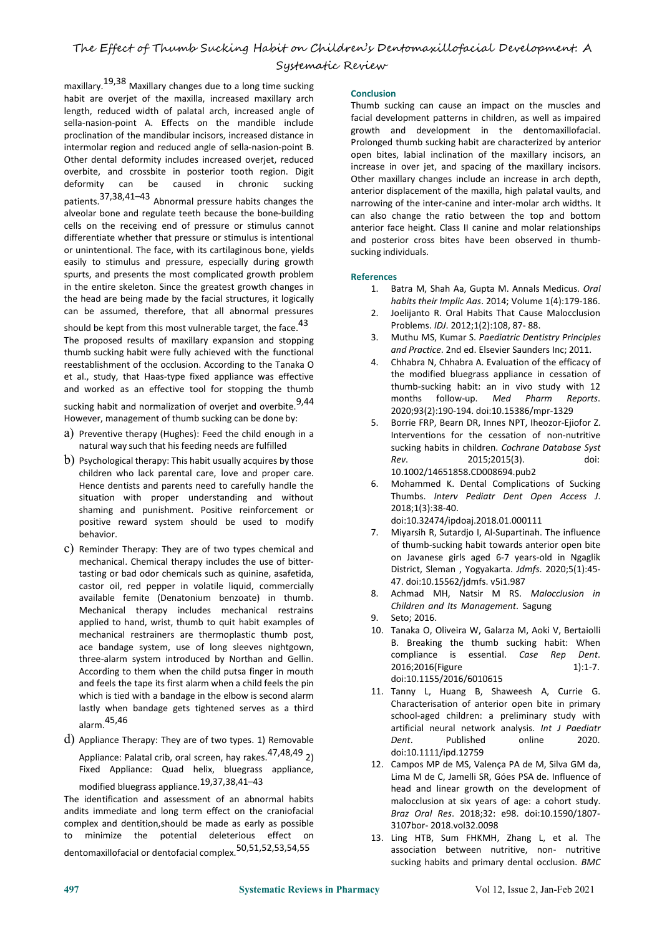maxillary.19,38 Maxillary changes due to <sup>a</sup> long time sucking habit are overjet of the maxilla, increased maxillary arch length, reduced width of palatal arch, increased angle of sella-nasion-point A. Effects on the mandible include proclination of the mandibular incisors, increased distance in intermolar region and reduced angle of sella-nasion-point B. Other dental deformity includes increased overjet, reduced<br>
increase in over jet, and spacing of the maxillary incisors. overbite, and crossbite in posterior tooth region. Digit<br>defeavity changes include an increase in arch depth, deformity can be caused in chronic sucking patients.37,38,41–43 Abnormal pressure habits changes the alveolar bone and regulate teeth because the bone-building cells on the receiving end of pressure or stimulus cannot differentiate whether that pressure or stimulus is intentional or unintentional. The face, with its cartilaginous bone, yields easily to stimulus and pressure, especially during growth spurts, and presents the most complicated growth problem in the entire skeleton. Since the greatest growth changes in the head are being made by the facial structures, it logically can be assumed, therefore, that all abnormal pressures

should be kept from this most vulnerable target, the face.  $^{43}$ <br>The secondary of the sillness pression and streams The proposed results of maxillary expansion and stopping thumb sucking habit were fully achieved with the functional reestablishment of the occlusion. According to the Tanaka O et al., study, that Haas-type fixed appliance was effective and worked as an effective tool for stopping the thumb

sucking habit and normalization of overjet and overbite.<sup>9,44</sup> However, management of thumb sucking can be done by:  $\frac{5}{9}$ 

- a) Preventive therapy (Hughes): Feed the child enough in a natural way such that his feeding needs are fulfilled
- b) Psychological therapy: This habit usually acquires by those  $\mathbb{R}$ ev. children who lack parental care, love and proper care. Hence dentists and parents need to carefully handle the situation with proper understanding and without shaming and punishment. Positive reinforcement or positive reward system should be used to modify behavior.
- c) Reminder Therapy: They are of two types chemical and mechanical. Chemical therapy includes the use of bitter tasting or bad odor chemicals such as quinine, asafetida, castor oil, red pepper in volatile liquid, commercially available femite (Denatonium benzoate) in thumb. Mechanical therapy includes mechanical restrains applied to hand, wrist, thumb to quit habit examples of mechanical restrainers are thermoplastic thumb post, ace bandage system, use of long sleeves nightgown, three-alarm system introduced by Northan and Gellin. According to them when the child putsa finger in mouth and feels the tape its first alarm when a child feels the pin which is tied with a bandage in the elbow is second alarm lastly when bandage gets tightened serves as a third alarm.45,46
- d) Appliance Therapy: They are of two types. 1) Removable Appliance: Palatal crib, oral screen, hay rakes.<sup>47,48,49</sup> 2) Fixed Appliance: Quad helix, bluegrass appliance, modified bluegrass appliance.19,37,38,41–43

The identification and assessment of an abnormal habits andits immediate and long term effect on the craniofacial complex and dentition,should be made as early as possible to minimize the potential deleterious effect on dentomaxillofacial or dentofacial complex.50,51,52,53,54,55

#### **Conclusion**

Thumb sucking can cause an impact on the muscles and facial development patterns in children, as well as impaired growth and development in the dentomaxillofacial. Prolonged thumb sucking habit are characterized by anterior open bites, labial inclination of the maxillary incisors, an anterior displacement of the maxilla, high palatal vaults, and narrowing of the inter-canine and inter-molar arch widths. It can also change the ratio between the top and bottom anterior face height. Class II canine and molar relationships and posterior cross bites have been observed in thumb sucking individuals.

#### **References**

- 1. Batra M, Shah Aa, Gupta M. Annals Medicus. *Oral habits their Implic Aas*. 2014; Volume 1(4):179-186.
- 2. Joelijanto R. Oral Habits That Cause Malocclusion Problems. *IDJ*. 2012;1(2):108, 87- 88.
- 3. Muthu MS, Kumar S. *Paediatric Dentistry Principles and Practice*. 2nd ed. Elsevier Saunders Inc; 2011.
- 4. Chhabra N, Chhabra A. Evaluation of the efficacy of the modified bluegrass appliance in cessation of thumb-sucking habit: an in vivo study with 12 months follow-up. *Med Pharm Reports*. 2020;93(2):190-194. doi:10.15386/mpr-1329
- 5. Borrie FRP, Bearn DR, Innes NPT, Iheozor-Ejiofor Z. Interventions for the cessation of non-nutritive sucking habits in children. *Cochrane Database Syst Rev*. 2015;2015(3). doi: 10.1002/14651858.CD008694.pub2
- 6. Mohammed K. Dental Complications of Sucking Thumbs. *Interv Pediatr Dent Open Access J*. 2018;1(3):38-40. doi:10.32474/ipdoaj.2018.01.000111
- Miyarsih R, Sutardjo I, Al-Supartinah. The influence of thumb-sucking habit towards anterior open bite on Javanese girls aged 6-7 years-old in Ngaglik District, Sleman , Yogyakarta. *Jdmfs*. 2020;5(1):45- 47. doi:10.15562/jdmfs. v5i1.987
- 8. Achmad MH, Natsir M RS. *Malocclusion in Children and Its Management*. Sagung
- Seto; 2016.
- 10. Tanaka O, Oliveira W, Galarza M, Aoki V, Bertaiolli B. Breaking the thumb sucking habit: When compliance is essential. *Case Rep Dent*. 2016;2016(Figure 1):1-7. doi:10.1155/2016/6010615
- 11. Tanny L, Huang B, Shaweesh A, Currie G. Characterisation of anterior open bite in primary school-aged children: a preliminary study with artificial neural network analysis. *Int J Paediatr* Published online 2020. doi:10.1111/ipd.12759
- 12. Campos MP de MS, Valença PA de M, Silva GM da, Lima M de C, Jamelli SR, Góes PSA de. Influence of head and linear growth on the development of malocclusion at six years of age: a cohort study. *Braz Oral Res*. 2018;32: e98. doi:10.1590/1807- 3107bor- 2018.vol32.0098
- 13. Ling HTB, Sum FHKMH, Zhang L, et al. The association between nutritive, non- nutritive sucking habits and primary dental occlusion. *BMC*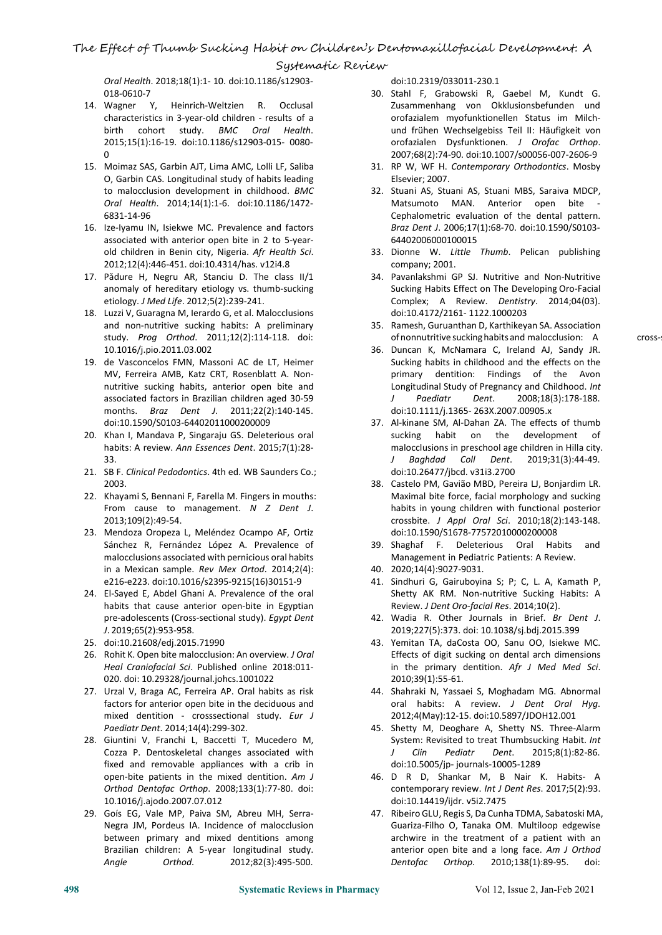*Oral Health*. 2018;18(1):1- 10. doi:10.1186/s12903- 018-0610-7

- 14. Wagner Y, Heinrich-Weltzien R. Occlusal characteristics in 3-year-old children - results of a birth cohort study. *BMC Oral Health*. 2015;15(1):16-19. doi:10.1186/s12903-015- 0080- 0
- 15. Moimaz SAS, Garbin AJT, Lima AMC, Lolli LF, Saliba O, Garbin CAS. Longitudinal study of habits leading to malocclusion development in childhood. *BMC Oral Health*. 2014;14(1):1-6. doi:10.1186/1472- 6831-14-96
- 16. Ize-Iyamu IN, Isiekwe MC. Prevalence and factors associated with anterior open bite in 2 to 5-year old children in Benin city, Nigeria. *Afr Health Sci*. 2012;12(4):446-451. doi:10.4314/has. v12i4.8
- 17. Pǎdure H, Negru AR, Stanciu D. The class II/1 anomaly of hereditary etiology vs. thumb-sucking etiology. *J Med Life*. 2012;5(2):239-241.
- 18. Luzzi V, Guaragna M, Ierardo G, et al. Malocclusions and non-nutritive sucking habits: A preliminary study. *Prog Orthod*. 2011;12(2):114-118. doi: 10.1016/j.pio.2011.03.002
- 19. de Vasconcelos FMN, Massoni AC de LT, Heimer MV, Ferreira AMB, Katz CRT, Rosenblatt A. Non nutritive sucking habits, anterior open bite and associated factors in Brazilian children aged 30-59 months. *Braz Dent J*. 2011;22(2):140-145. doi:10.1590/S0103-64402011000200009
- 20. Khan I, Mandava P, Singaraju GS. Deleterious oral habits: A review. *Ann Essences Dent*. 2015;7(1):28- 33.
- 21. SB F. *Clinical Pedodontics*. 4th ed. WB Saunders Co.; 2003.
- 22. Khayami S, Bennani F, Farella M. Fingers in mouths: From cause to management. *N Z Dent J*. 2013;109(2):49-54.
- 23. Mendoza Oropeza L, Meléndez Ocampo AF, Ortiz Sánchez R, Fernández López A. Prevalence of malocclusions associated with pernicious oral habits in aMexican sample. *Rev Mex Ortod*. 2014;2(4): e216-e223. doi:10.1016/s2395-9215(16)30151-9
- 24. El-Sayed E, Abdel Ghani A. Prevalence of the oral habits that cause anterior open-bite in Egyptian pre-adolescents (Cross-sectional study). *Egypt Dent J*. 2019;65(2):953-958.
- 25. doi:10.21608/edj.2015.71990
- 26. Rohit K. Open bite malocclusion: An overview. *J Oral Heal Craniofacial Sci*. Published online 2018:011- 020. doi: 10.29328/journal.johcs.1001022
- 27. Urzal V, Braga AC, Ferreira AP. Oral habits as risk factors for anterior open bite in the deciduous and mixed dentition - crosssectional study. *Eur J Paediatr Dent*. 2014;14(4):299-302.
- 28. Giuntini V, Franchi L, Baccetti T, Mucedero M, Cozza P. Dentoskeletal changes associated with  $J$  Clin fixed and removable appliances with a crib in open-bite patients in the mixed dentition. *Am J Orthod Dentofac Orthop*. 2008;133(1):77-80. doi: 10.1016/j.ajodo.2007.07.012
- 29. Goís EG, Vale MP, Paiva SM, Abreu MH, Serra- Negra JM, Pordeus IA. Incidence of malocclusion between primary and mixed dentitions among Brazilian children: A 5-year longitudinal study. *Angle Orthod*. 2012;82(3):495-500.

doi:10.2319/033011-230.1

- 30. Stahl F, Grabowski R, Gaebel M, Kundt G. Zusammenhang von Okklusionsbefunden und orofazialem myofunktionellen Status im Milch und frühen Wechselgebiss Teil II: Häufigkeit von orofazialen Dysfunktionen. *J Orofac Orthop*. 2007;68(2):74-90. doi:10.1007/s00056-007-2606-9
- 31. RP W, WF H. *Contemporary Orthodontics*. Mosby Elsevier; 2007.
- 32. Stuani AS, Stuani AS, Stuani MBS, Saraiva MDCP, Matsumoto MAN. Anterior open bite Cephalometric evaluation of the dental pattern. *Braz Dent J*. 2006;17(1):68-70. doi:10.1590/S0103- 64402006000100015
- 33. Dionne W. *Little Thumb*. Pelican publishing company; 2001.
- 34. Pavanlakshmi GP SJ. Nutritive and Non-Nutritive Sucking Habits Effect on The Developing Oro-Facial Complex; A Review. *Dentistry*. 2014;04(03). doi:10.4172/2161- 1122.1000203
- 35. Ramesh, Guruanthan D, Karthikeyan SA. Association of nonnutritive sucking habits and malocclusion: A cross-
- 36. Duncan K, McNamara C, Ireland AJ, Sandy JR. Sucking habits in childhood and the effects on the primary dentition: Findings of the Avon Longitudinal Study of Pregnancy and Childhood. *Int J Paediatr Dent*. 2008;18(3):178-188. doi:10.1111/j.1365- 263X.2007.00905.x
- 37. Al-kinane SM, Al-Dahan ZA. The effects of thumb sucking habit on the development of malocclusions in preschool age children in Hilla city. *J Baghdad Coll Dent*. 2019;31(3):44-49. doi:10.26477/jbcd. v31i3.2700
- 38. Castelo PM, Gavião MBD, Pereira LJ, Bonjardim LR. Maximal bite force, facial morphology and sucking habits in young children with functional posterior crossbite. *J Appl Oral Sci*. 2010;18(2):143-148. doi:10.1590/S1678-77572010000200008
- 39. Shaghaf F. Deleterious Oral Habits and Management in Pediatric Patients: A Review.
- 40. 2020;14(4):9027-9031.
- 41. Sindhuri G, Gairuboyina S; P; C, L. A, Kamath P, Shetty AK RM. Non-nutritive Sucking Habits: A Review. *J Dent Oro-facial Res*. 2014;10(2).
- 42. Wadia R. Other Journals in Brief. *Br Dent J*. 2019;227(5):373. doi: 10.1038/sj.bdj.2015.399
- 43. Yemitan TA, daCosta OO, Sanu OO, Isiekwe MC. Effects of digit sucking on dental arch dimensions in the primary dentition. *Afr J Med Med Sci*. 2010;39(1):55-61.
- 44. Shahraki N, Yassaei S, Moghadam MG. Abnormal oral habits: A review. *J Dent Oral Hyg*. 2012;4(May):12-15. doi:10.5897/JDOH12.001
- 45. Shetty M, Deoghare A, Shetty NS. Three-Alarm System: Revisited to treat Thumbsucking Habit. *Int J Clin Pediatr Dent*. 2015;8(1):82-86. doi:10.5005/jp- journals-10005-1289
- 46. D R D, Shankar M, B Nair K. Habits- A contemporary review. *Int J Dent Res*. 2017;5(2):93. doi:10.14419/ijdr. v5i2.7475
- 47. Ribeiro GLU, Regis S, Da Cunha TDMA, Sabatoski MA, Guariza-Filho O, Tanaka OM. Multiloop edgewise archwire in the treatment of a patient with an anterior open bite and a long face. *Am J Orthod Dentofac Orthop*. 2010;138(1):89-95. doi: